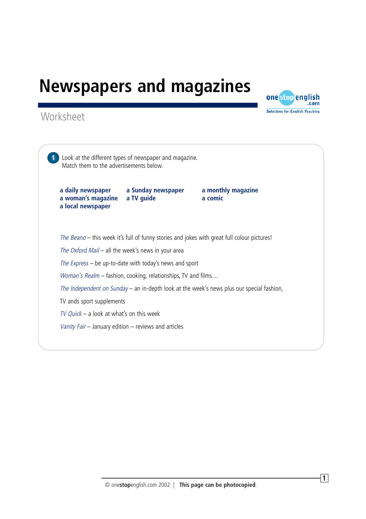



**1** Look at the different types of newspaper and magazine. Match them to the advertisements below. **a daily newspaper a Sunday newspaper a monthly magazine a woman's magazine a TV guide a comic a local newspaper** The Beano – this week it's full of funny stories and jokes with great full colour pictures! The Oxford Mail – all the week's news in your area The Express – be up-to-date with today's news and sport Woman's Realm – fashion, cooking, relationships, TV and films... The Independent on Sunday – an in-depth look at the week's news plus our special fashion, TV ands sport supplements  $TV$  Quick – a look at what's on this week Vanity Fair – January edition – reviews and articles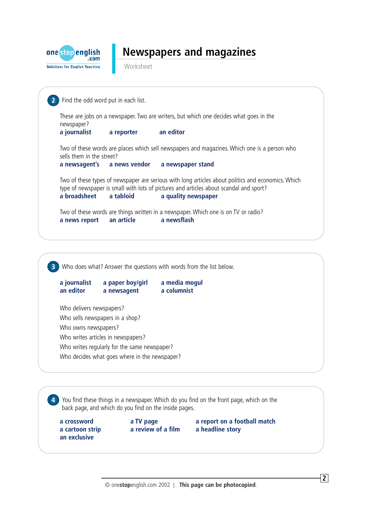

Worksheet

```
3 Who does what? Answer the questions with words from the list below.
   a journalist a paper boy/girl a media mogul
   an editor a newsagent a columnist
   Who delivers newspapers?
   Who sells newspapers in a shop?
   Who owns newspapers?
   Who writes articles in newspapers?
   Who writes regularly for the same newspaper?
   Who decides what goes where in the newspaper?
4 You find these things in a newspaper. Which do you find on the front page, which on the
    back page, and which do you find on the inside pages.
2 Find the odd word put in each list.
   These are jobs on a newspaper. Two are writers, but which one decides what goes in the
   newspaper?
   a journalist a reporter an editor
   Two of these words are places which sell newspapers and magazines. Which one is a person who
   sells them in the street?
   a newsagent's a news vendor a newspaper stand
   Two of these types of newspaper are serious with long articles about politics and economics. Which
   type of newspaper is small with lots of pictures and articles about scandal and sport?
   a broadsheet a tabloid a quality newspaper
   Two of these words are things written in a newspaper. Which one is on TV or radio?
   a news report an article a newsflash
```
**a crossword a TV page a report on a football match**

**a cartoon strip a review of a film a headline story**

**an exclusive**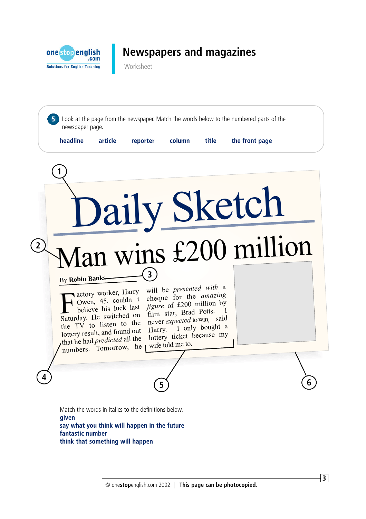

Worksheet



**3**